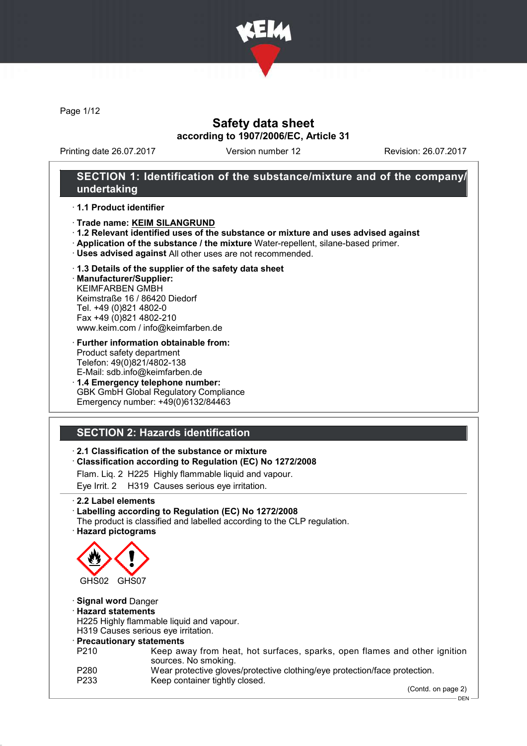

Page 1/12

### Safety data sheet according to 1907/2006/EC, Article 31

Printing date 26.07.2017 Version number 12 Revision: 26.07.2017

#### SECTION 1: Identification of the substance/mixture and of the company/ undertaking

#### · 1.1 Product identifier

- · Trade name: KEIM SILANGRUND
- · 1.2 Relevant identified uses of the substance or mixture and uses advised against
- · Application of the substance / the mixture Water-repellent, silane-based primer.
- · Uses advised against All other uses are not recommended.

# · 1.3 Details of the supplier of the safety data sheet

· Manufacturer/Supplier: KEIMFARBEN GMBH Keimstraße 16 / 86420 Diedorf Tel. +49 (0)821 4802-0 Fax +49 (0)821 4802-210 www.keim.com / info@keimfarben.de

#### · Further information obtainable from: Product safety department Telefon: 49(0)821/4802-138 E-Mail: sdb.info@keimfarben.de

· 1.4 Emergency telephone number: GBK GmbH Global Regulatory Compliance Emergency number: +49(0)6132/84463

# SECTION 2: Hazards identification

### · 2.1 Classification of the substance or mixture

· Classification according to Regulation (EC) No 1272/2008

Flam. Liq. 2 H225 Highly flammable liquid and vapour.

Eye Irrit. 2 H319 Causes serious eye irritation.

#### · 2.2 Label elements

#### · Labelling according to Regulation (EC) No 1272/2008

The product is classified and labelled according to the CLP regulation. · Hazard pictograms



#### · Signal word Danger

#### · Hazard statements

H225 Highly flammable liquid and vapour.

H319 Causes serious eye irritation.

- · Precautionary statements
- P210 Keep away from heat, hot surfaces, sparks, open flames and other ignition sources. No smoking.
- P280 Wear protective gloves/protective clothing/eye protection/face protection.<br>P233 Keep container tightly closed.

Keep container tightly closed.

(Contd. on page 2)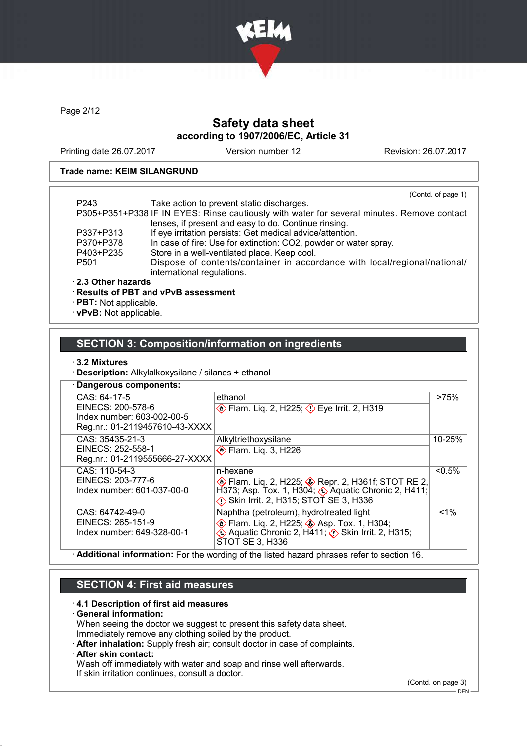

Page 2/12

### Safety data sheet according to 1907/2006/EC, Article 31

Printing date 26.07.2017 Version number 12 Revision: 26.07.2017

#### Trade name: KEIM SILANGRUND

|                   | (Contd. of page 1)                                                                         |
|-------------------|--------------------------------------------------------------------------------------------|
| P <sub>243</sub>  | Take action to prevent static discharges.                                                  |
|                   | P305+P351+P338 IF IN EYES: Rinse cautiously with water for several minutes. Remove contact |
|                   | lenses, if present and easy to do. Continue rinsing.                                       |
| P337+P313         | If eye irritation persists: Get medical advice/attention.                                  |
| P370+P378         | In case of fire: Use for extinction: CO2, powder or water spray.                           |
| P403+P235         | Store in a well-ventilated place. Keep cool.                                               |
| P <sub>501</sub>  | Dispose of contents/container in accordance with local/regional/national/                  |
|                   | international regulations.                                                                 |
| 2.3 Other hazards |                                                                                            |
|                   | $\cdot$ Results of PBT and vPvB assessment                                                 |
|                   |                                                                                            |

· PBT: Not applicable.

· vPvB: Not applicable.

#### SECTION 3: Composition/information on ingredients

#### · 3.2 Mixtures

· Description: Alkylalkoxysilane / silanes + ethanol

| Dangerous components:                                                                       |                                                                             |           |
|---------------------------------------------------------------------------------------------|-----------------------------------------------------------------------------|-----------|
| CAS: 64-17-5                                                                                | ethanol                                                                     | >75%      |
| EINECS: 200-578-6                                                                           | <b>Example 2, H225; Example 2, H319</b>                                     |           |
| Index number: 603-002-00-5                                                                  |                                                                             |           |
| Reg.nr.: 01-2119457610-43-XXXX                                                              |                                                                             |           |
| CAS: 35435-21-3                                                                             | Alkyltriethoxysilane                                                        | 10-25%    |
| EINECS: 252-558-1                                                                           | <b>Elam.</b> Lig. 3, H226                                                   |           |
| Reg.nr.: 01-2119555666-27-XXXX                                                              |                                                                             |           |
| CAS: 110-54-3                                                                               | n-hexane                                                                    | $< 0.5\%$ |
| EINECS: 203-777-6                                                                           | <b>Example 2, H225; Cappaign 2, H361f; STOT RE 2,</b>                       |           |
| Index number: 601-037-00-0                                                                  | H373; Asp. Tox. 1, H304; $\triangle$ Aquatic Chronic 2, H411;               |           |
|                                                                                             | $\langle \cdot \rangle$ Skin Irrit. 2, H315; STOT SE 3, H336                |           |
| CAS: 64742-49-0                                                                             | Naphtha (petroleum), hydrotreated light                                     | $< 1\%$   |
| EINECS: 265-151-9                                                                           | <b>Elam.</b> Lig. 2, H225; Asp. Tox. 1, H304;                               |           |
| Index number: 649-328-00-1                                                                  | $\diamondsuit$ Aquatic Chronic 2, H411; $\diamondsuit$ Skin Irrit. 2, H315; |           |
|                                                                                             | STOT SE 3, H336                                                             |           |
| . Additional information: Ear the wording of the listed because phrases refer to section 16 |                                                                             |           |

**dditional information:** For the wording of the listed hazard phrases refer to section 16.

#### SECTION 4: First aid measures

· 4.1 Description of first aid measures

· General information: When seeing the doctor we suggest to present this safety data sheet.

Immediately remove any clothing soiled by the product.

· After inhalation: Supply fresh air; consult doctor in case of complaints.

#### · After skin contact:

Wash off immediately with water and soap and rinse well afterwards. If skin irritation continues, consult a doctor.

(Contd. on page 3)

<sup>–</sup> DEN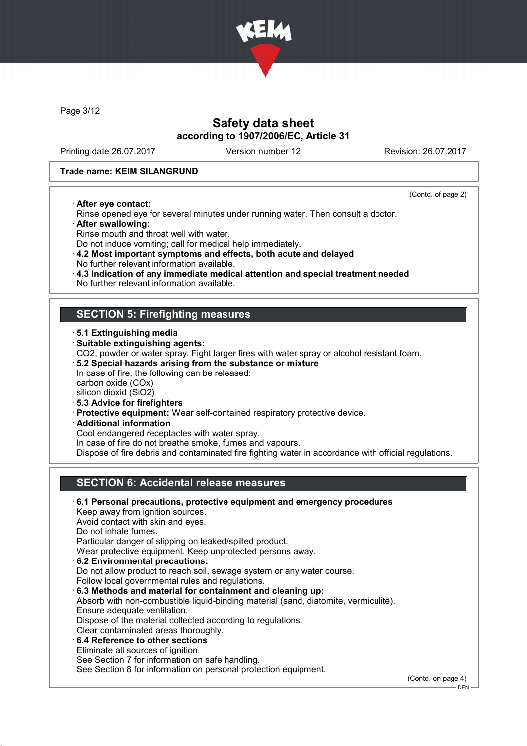

Page 3/12

### Safety data sheet according to 1907/2006/EC, Article 31

Printing date 26.07.2017 Version number 12 Revision: 26.07.2017

(Contd. of page 2)

#### Trade name: KEIM SILANGRUND

· After eye contact:

- Rinse opened eye for several minutes under running water. Then consult a doctor. · After swallowing:
- Rinse mouth and throat well with water.
- Do not induce vomiting; call for medical help immediately.
- · 4.2 Most important symptoms and effects, both acute and delayed No further relevant information available.
- 
- · 4.3 Indication of any immediate medical attention and special treatment needed
- No further relevant information available.

#### SECTION 5: Firefighting measures

- · 5.1 Extinguishing media · Suitable extinguishing agents:
- CO2, powder or water spray. Fight larger fires with water spray or alcohol resistant foam.
- · 5.2 Special hazards arising from the substance or mixture In case of fire, the following can be released: carbon oxide (COx)
- silicon dioxid (SiO2)
- · 5.3 Advice for firefighters
- · Protective equipment: Wear self-contained respiratory protective device.
- · Additional information

Cool endangered receptacles with water spray.

In case of fire do not breathe smoke, fumes and vapours.

Dispose of fire debris and contaminated fire fighting water in accordance with official regulations.

### SECTION 6: Accidental release measures

| 6.1 Personal precautions, protective equipment and emergency procedures             |                   |
|-------------------------------------------------------------------------------------|-------------------|
| Keep away from ignition sources.                                                    |                   |
| Avoid contact with skin and eyes.                                                   |                   |
| Do not inhale fumes.                                                                |                   |
| Particular danger of slipping on leaked/spilled product.                            |                   |
| Wear protective equipment. Keep unprotected persons away.                           |                   |
| 6.2 Environmental precautions:                                                      |                   |
| Do not allow product to reach soil, sewage system or any water course.              |                   |
| Follow local governmental rules and regulations.                                    |                   |
| 6.3 Methods and material for containment and cleaning up:                           |                   |
| Absorb with non-combustible liquid-binding material (sand, diatomite, vermiculite). |                   |
| Ensure adequate ventilation.                                                        |                   |
| Dispose of the material collected according to regulations.                         |                   |
| Clear contaminated areas thoroughly.                                                |                   |
| $\cdot$ 6.4 Reference to other sections                                             |                   |
| Eliminate all sources of ignition.                                                  |                   |
| See Section 7 for information on safe handling.                                     |                   |
| See Section 8 for information on personal protection equipment.                     |                   |
|                                                                                     | $\Gamma$ $\Gamma$ |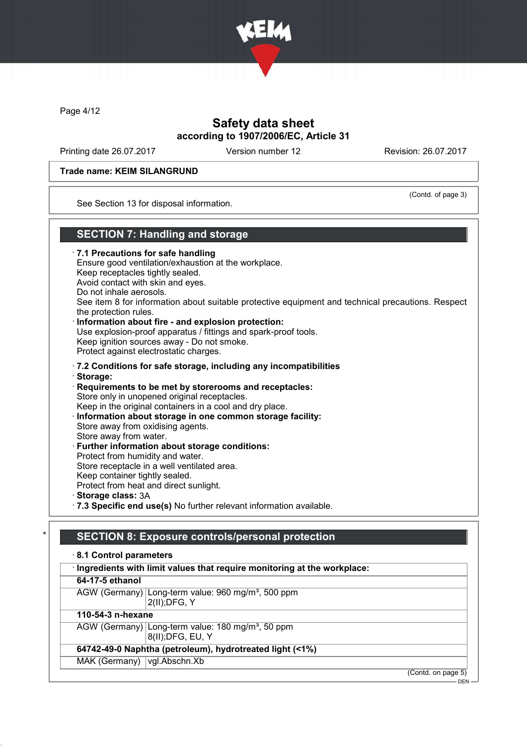

Page 4/12

### Safety data sheet according to 1907/2006/EC, Article 31

Printing date 26.07.2017 Version number 12 Revision: 26.07.2017

#### Trade name: KEIM SILANGRUND

(Contd. of page 3)

See Section 13 for disposal information.

#### SECTION 7: Handling and storage

· 7.1 Precautions for safe handling Ensure good ventilation/exhaustion at the workplace. Keep receptacles tightly sealed. Avoid contact with skin and eyes. Do not inhale aerosols. See item 8 for information about suitable protective equipment and technical precautions. Respect the protection rules. Information about fire - and explosion protection: Use explosion-proof apparatus / fittings and spark-proof tools. Keep ignition sources away - Do not smoke. Protect against electrostatic charges. · 7.2 Conditions for safe storage, including any incompatibilities · Storage: · Requirements to be met by storerooms and receptacles: Store only in unopened original receptacles. Keep in the original containers in a cool and dry place. · Information about storage in one common storage facility: Store away from oxidising agents. Store away from water. Further information about storage conditions: Protect from humidity and water. Store receptacle in a well ventilated area. Keep container tightly sealed. Protect from heat and direct sunlight. · Storage class: 3A · 7.3 Specific end use(s) No further relevant information available.

# SECTION 8: Exposure controls/personal protection

| 8.1 Control parameters          |                                                                                    |
|---------------------------------|------------------------------------------------------------------------------------|
|                                 | · Ingredients with limit values that require monitoring at the workplace:          |
| 64-17-5 ethanol                 |                                                                                    |
|                                 | AGW (Germany) Long-term value: 960 mg/m <sup>3</sup> , 500 ppm<br>$2(II)$ ; DFG, Y |
| 110-54-3 n-hexane               |                                                                                    |
|                                 | AGW (Germany) Long-term value: 180 mg/m <sup>3</sup> , 50 ppm<br>8(II); DFG, EU, Y |
|                                 | 64742-49-0 Naphtha (petroleum), hydrotreated light (<1%)                           |
| MAK (Germany)   vgl. Abschn. Xb |                                                                                    |
|                                 | (Contd. on page 5)                                                                 |
|                                 | DEN                                                                                |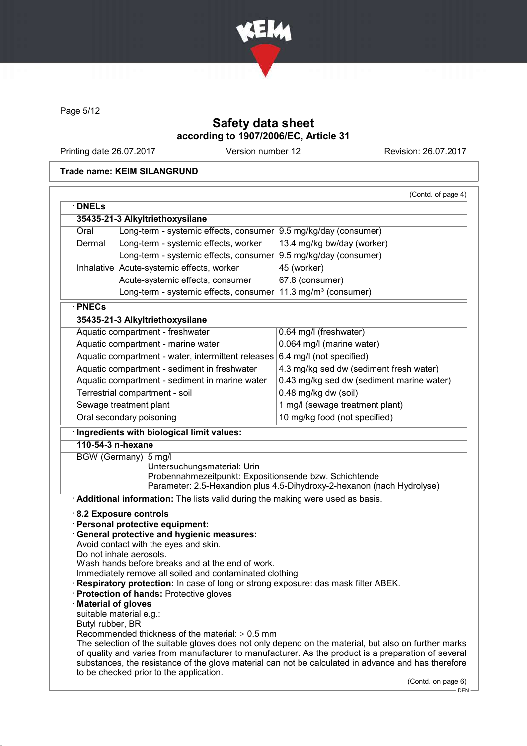

Page 5/12

### Safety data sheet according to 1907/2006/EC, Article 31

Printing date 26.07.2017 Version number 12 Revision: 26.07.2017

#### Trade name: KEIM SILANGRUND

| Oral<br>Dermal<br>· PNECs                                                | 35435-21-3 Alkyltriethoxysilane<br>Long-term - systemic effects, consumer 9.5 mg/kg/day (consumer)<br>Long-term - systemic effects, worker<br>Long-term - systemic effects, consumer<br>Inhalative Acute-systemic effects, worker<br>Acute-systemic effects, consumer<br>Long-term - systemic effects, consumer                                                                                                                                                                    | 13.4 mg/kg bw/day (worker)<br>9.5 mg/kg/day (consumer)<br>45 (worker)<br>67.8 (consumer)                                                                                                                                                                                                                           |
|--------------------------------------------------------------------------|------------------------------------------------------------------------------------------------------------------------------------------------------------------------------------------------------------------------------------------------------------------------------------------------------------------------------------------------------------------------------------------------------------------------------------------------------------------------------------|--------------------------------------------------------------------------------------------------------------------------------------------------------------------------------------------------------------------------------------------------------------------------------------------------------------------|
|                                                                          |                                                                                                                                                                                                                                                                                                                                                                                                                                                                                    |                                                                                                                                                                                                                                                                                                                    |
|                                                                          |                                                                                                                                                                                                                                                                                                                                                                                                                                                                                    |                                                                                                                                                                                                                                                                                                                    |
|                                                                          |                                                                                                                                                                                                                                                                                                                                                                                                                                                                                    |                                                                                                                                                                                                                                                                                                                    |
|                                                                          |                                                                                                                                                                                                                                                                                                                                                                                                                                                                                    |                                                                                                                                                                                                                                                                                                                    |
|                                                                          |                                                                                                                                                                                                                                                                                                                                                                                                                                                                                    |                                                                                                                                                                                                                                                                                                                    |
|                                                                          |                                                                                                                                                                                                                                                                                                                                                                                                                                                                                    |                                                                                                                                                                                                                                                                                                                    |
|                                                                          |                                                                                                                                                                                                                                                                                                                                                                                                                                                                                    | 11.3 mg/m <sup>3</sup> (consumer)                                                                                                                                                                                                                                                                                  |
|                                                                          |                                                                                                                                                                                                                                                                                                                                                                                                                                                                                    |                                                                                                                                                                                                                                                                                                                    |
|                                                                          | 35435-21-3 Alkyltriethoxysilane                                                                                                                                                                                                                                                                                                                                                                                                                                                    |                                                                                                                                                                                                                                                                                                                    |
|                                                                          | Aquatic compartment - freshwater                                                                                                                                                                                                                                                                                                                                                                                                                                                   | 0.64 mg/l (freshwater)                                                                                                                                                                                                                                                                                             |
|                                                                          | Aquatic compartment - marine water                                                                                                                                                                                                                                                                                                                                                                                                                                                 | 0.064 mg/l (marine water)                                                                                                                                                                                                                                                                                          |
|                                                                          | Aquatic compartment - water, intermittent releases 6.4 mg/l (not specified)                                                                                                                                                                                                                                                                                                                                                                                                        |                                                                                                                                                                                                                                                                                                                    |
|                                                                          | Aquatic compartment - sediment in freshwater                                                                                                                                                                                                                                                                                                                                                                                                                                       | 4.3 mg/kg sed dw (sediment fresh water)                                                                                                                                                                                                                                                                            |
|                                                                          | Aquatic compartment - sediment in marine water                                                                                                                                                                                                                                                                                                                                                                                                                                     | 0.43 mg/kg sed dw (sediment marine water)                                                                                                                                                                                                                                                                          |
| Terrestrial compartment - soil                                           |                                                                                                                                                                                                                                                                                                                                                                                                                                                                                    | 0.48 mg/kg dw (soil)                                                                                                                                                                                                                                                                                               |
|                                                                          | Sewage treatment plant                                                                                                                                                                                                                                                                                                                                                                                                                                                             | 1 mg/l (sewage treatment plant)                                                                                                                                                                                                                                                                                    |
|                                                                          | Oral secondary poisoning                                                                                                                                                                                                                                                                                                                                                                                                                                                           | 10 mg/kg food (not specified)                                                                                                                                                                                                                                                                                      |
|                                                                          | · Ingredients with biological limit values:                                                                                                                                                                                                                                                                                                                                                                                                                                        |                                                                                                                                                                                                                                                                                                                    |
| 110-54-3 n-hexane                                                        |                                                                                                                                                                                                                                                                                                                                                                                                                                                                                    |                                                                                                                                                                                                                                                                                                                    |
| <b>BGW</b> (Germany)                                                     | $5$ mg/l<br>Untersuchungsmaterial: Urin<br>Probennahmezeitpunkt: Expositionsende bzw. Schichtende                                                                                                                                                                                                                                                                                                                                                                                  | Parameter: 2.5-Hexandion plus 4.5-Dihydroxy-2-hexanon (nach Hydrolyse)                                                                                                                                                                                                                                             |
|                                                                          | Additional information: The lists valid during the making were used as basis.                                                                                                                                                                                                                                                                                                                                                                                                      |                                                                                                                                                                                                                                                                                                                    |
| <b>Material of gloves</b><br>suitable material e.g.:<br>Butyl rubber, BR | 8.2 Exposure controls<br>· Personal protective equipment:<br>General protective and hygienic measures:<br>Avoid contact with the eyes and skin.<br>Do not inhale aerosols.<br>Wash hands before breaks and at the end of work.<br>Immediately remove all soiled and contaminated clothing<br>· Respiratory protection: In case of long or strong exposure: das mask filter ABEK.<br>Protection of hands: Protective gloves<br>Recommended thickness of the material: $\geq 0.5$ mm |                                                                                                                                                                                                                                                                                                                    |
|                                                                          | to be checked prior to the application.                                                                                                                                                                                                                                                                                                                                                                                                                                            | The selection of the suitable gloves does not only depend on the material, but also on further marks<br>of quality and varies from manufacturer to manufacturer. As the product is a preparation of several<br>substances, the resistance of the glove material can not be calculated in advance and has therefore |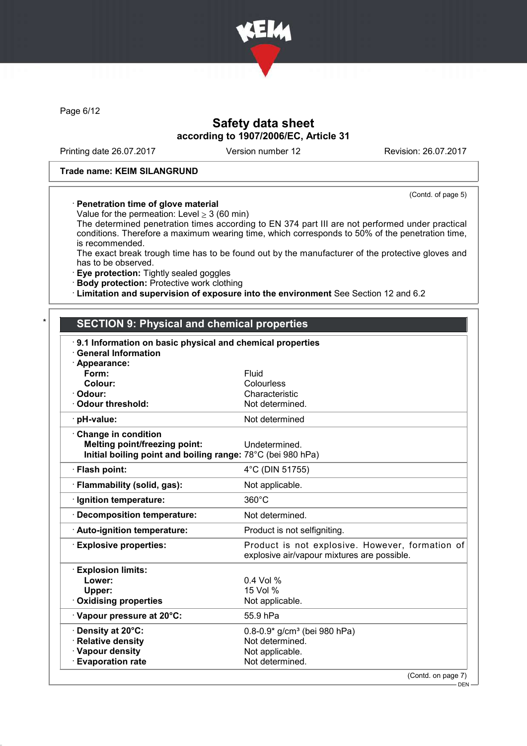

Page 6/12

### Safety data sheet according to 1907/2006/EC, Article 31

Printing date 26.07.2017 Version number 12 Revision: 26.07.2017

(Contd. of page 5)

#### Trade name: KEIM SILANGRUND

#### · Penetration time of glove material

Value for the permeation: Level  $\geq$  3 (60 min)

The determined penetration times according to EN 374 part III are not performed under practical conditions. Therefore a maximum wearing time, which corresponds to 50% of the penetration time, is recommended.

The exact break trough time has to be found out by the manufacturer of the protective gloves and has to be observed.

· Eye protection: Tightly sealed goggles

· Body protection: Protective work clothing

· Limitation and supervision of exposure into the environment See Section 12 and 6.2

#### **SECTION 9: Physical and chemical properties**

| 9.1 Information on basic physical and chemical properties<br><b>General Information</b>                                    |                                                                                                       |
|----------------------------------------------------------------------------------------------------------------------------|-------------------------------------------------------------------------------------------------------|
| · Appearance:<br>Form:<br>Colour:<br>· Odour:<br>Odour threshold:                                                          | Fluid<br>Colourless<br>Characteristic<br>Not determined.                                              |
| · pH-value:                                                                                                                | Not determined                                                                                        |
| Change in condition<br><b>Melting point/freezing point:</b><br>Initial boiling point and boiling range: 78°C (bei 980 hPa) | Undetermined.                                                                                         |
| · Flash point:                                                                                                             | 4°C (DIN 51755)                                                                                       |
| · Flammability (solid, gas):                                                                                               | Not applicable.                                                                                       |
| · Ignition temperature:                                                                                                    | 360°C                                                                                                 |
| · Decomposition temperature:                                                                                               | Not determined.                                                                                       |
| · Auto-ignition temperature:                                                                                               | Product is not selfigniting.                                                                          |
| <b>Explosive properties:</b>                                                                                               | Product is not explosive. However, formation of<br>explosive air/vapour mixtures are possible.        |
| <b>Explosion limits:</b><br>Lower:<br>Upper:<br>Oxidising properties                                                       | $0.4$ Vol %<br>15 Vol %<br>Not applicable.                                                            |
| Vapour pressure at 20°C:                                                                                                   | 55.9 hPa                                                                                              |
| <b>· Density at 20°C:</b><br>· Relative density<br>· Vapour density<br><b>Evaporation rate</b>                             | $0.8 - 0.9*$ g/cm <sup>3</sup> (bei 980 hPa)<br>Not determined.<br>Not applicable.<br>Not determined. |
|                                                                                                                            | (Contd. on page 7)                                                                                    |

DEN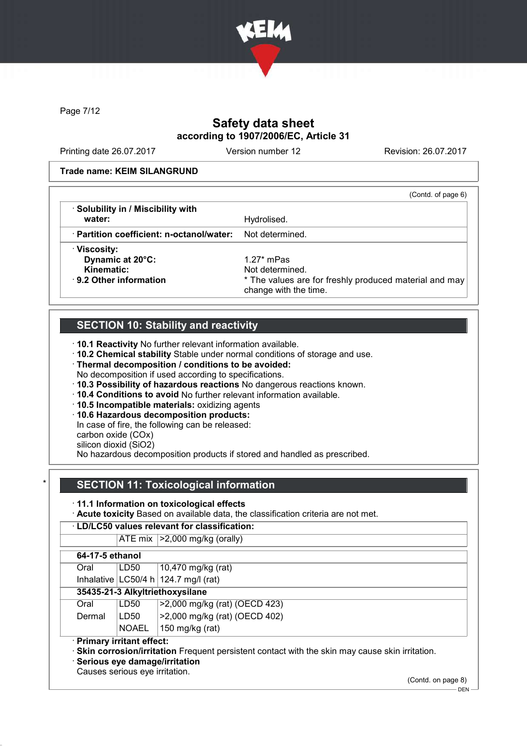

Page 7/12

## Safety data sheet according to 1907/2006/EC, Article 31

Printing date 26.07.2017 Version number 12 Revision: 26.07.2017

#### Trade name: KEIM SILANGRUND

|                                           | (Contd. of page 6)                                                              |
|-------------------------------------------|---------------------------------------------------------------------------------|
| · Solubility in / Miscibility with        |                                                                                 |
| water:                                    | Hydrolised.                                                                     |
| · Partition coefficient: n-octanol/water: | Not determined.                                                                 |
| · Viscosity:                              |                                                                                 |
| Dynamic at 20°C:                          | 1.27 $*$ mPas                                                                   |
| Kinematic:                                | Not determined.                                                                 |
| $\cdot$ 9.2 Other information             | * The values are for freshly produced material and may<br>change with the time. |

### SECTION 10: Stability and reactivity

· 10.1 Reactivity No further relevant information available.

· 10.2 Chemical stability Stable under normal conditions of storage and use.

- · Thermal decomposition / conditions to be avoided:
- No decomposition if used according to specifications.
- · 10.3 Possibility of hazardous reactions No dangerous reactions known.
- · 10.4 Conditions to avoid No further relevant information available.
- · 10.5 Incompatible materials: oxidizing agents
- · 10.6 Hazardous decomposition products:

In case of fire, the following can be released:

carbon oxide (COx)

silicon dioxid (SiO2)

No hazardous decomposition products if stored and handled as prescribed.

### **SECTION 11: Toxicological information**

· 11.1 Information on toxicological effects

· Acute toxicity Based on available data, the classification criteria are not met.

# · LD/LC50 values relevant for classification:

ATE mix  $\vert$  >2,000 mg/kg (orally)

| 64-17-5 ethanol |       |                                         |  |
|-----------------|-------|-----------------------------------------|--|
| Oral            | LD50  | 10,470 mg/kg (rat)                      |  |
|                 |       | Inhalative $ LG50/4 h 124.7 mg/l$ (rat) |  |
|                 |       | 35435-21-3 Alkyltriethoxysilane         |  |
| Oral            | LD50  | >2,000 mg/kg (rat) (OECD 423)           |  |
| Dermal          | LD50  | >2,000 mg/kg (rat) (OECD 402)           |  |
|                 | NOAEL | 150 mg/kg (rat)                         |  |

**Skin corrosion/irritation** Frequent persistent contact with the skin may cause skin irritation.

Serious eve damage/irritation

Causes serious eye irritation.

(Contd. on page 8)

DEN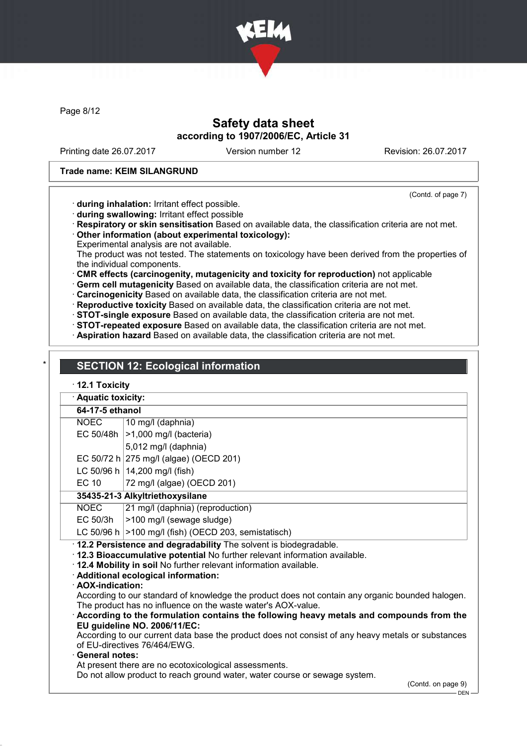

Page 8/12

### Safety data sheet according to 1907/2006/EC, Article 31

Printing date 26.07.2017 Version number 12 Revision: 26.07.2017

#### Trade name: KEIM SILANGRUND

(Contd. of page 7)

· during inhalation: Irritant effect possible.

- · during swallowing: Irritant effect possible
- · Respiratory or skin sensitisation Based on available data, the classification criteria are not met. · Other information (about experimental toxicology):

Experimental analysis are not available.

The product was not tested. The statements on toxicology have been derived from the properties of the individual components.

· CMR effects (carcinogenity, mutagenicity and toxicity for reproduction) not applicable

· Germ cell mutagenicity Based on available data, the classification criteria are not met.

· Carcinogenicity Based on available data, the classification criteria are not met.

· Reproductive toxicity Based on available data, the classification criteria are not met.

· STOT-single exposure Based on available data, the classification criteria are not met.

· STOT-repeated exposure Based on available data, the classification criteria are not met.

· Aspiration hazard Based on available data, the classification criteria are not met.

## **SECTION 12: Ecological information**

#### · 12.1 Toxicity

 $\overline{\phantom{a} \phantom{a} \phantom{a} \phantom{a} \phantom{a} \phantom{a} \phantom{a} \phantom{a} \phantom{a} \phantom{a} \phantom{a} \phantom{a} \phantom{a} \phantom{a} \phantom{a} \phantom{a} \phantom{a} \phantom{a} \phantom{a} \phantom{a} \phantom{a} \phantom{a} \phantom{a} \phantom{a} \phantom{a} \phantom{a} \phantom{a} \phantom{a} \phantom{a} \phantom{a} \phantom{a} \phantom{a} \phantom{a} \phantom{a} \phantom{a} \phantom{a} \$ 

| <b>AQUATIC TOXICITY:</b>                                                                                                          |                                                                                         |  |  |
|-----------------------------------------------------------------------------------------------------------------------------------|-----------------------------------------------------------------------------------------|--|--|
|                                                                                                                                   | 64-17-5 ethanol                                                                         |  |  |
| <b>NOEC</b>                                                                                                                       | 10 mg/l (daphnia)                                                                       |  |  |
|                                                                                                                                   | EC 50/48h<br>>1,000 mg/l (bacteria)                                                     |  |  |
|                                                                                                                                   | 5,012 mg/l (daphnia)                                                                    |  |  |
|                                                                                                                                   | EC 50/72 h 275 mg/l (algae) (OECD 201)                                                  |  |  |
|                                                                                                                                   | LC 50/96 h   14,200 mg/l (fish)                                                         |  |  |
| EC 10                                                                                                                             | 72 mg/l (algae) (OECD 201)                                                              |  |  |
| 35435-21-3 Alkyltriethoxysilane                                                                                                   |                                                                                         |  |  |
| <b>NOEC</b><br>21 mg/l (daphnia) (reproduction)                                                                                   |                                                                                         |  |  |
| EC 50/3h<br>>100 mg/l (sewage sludge)                                                                                             |                                                                                         |  |  |
| LC 50/96 h $ >100$ mg/l (fish) (OECD 203, semistatisch)                                                                           |                                                                                         |  |  |
| 12.2 Persistence and degradability The solvent is biodegradable.                                                                  |                                                                                         |  |  |
| · 12.3 Bioaccumulative potential No further relevant information available.                                                       |                                                                                         |  |  |
| . 12.4 Mobility in soil No further relevant information available.                                                                |                                                                                         |  |  |
| · Additional ecological information:                                                                                              |                                                                                         |  |  |
| · AOX-indication:<br>According to our standard of knowledge the product does not contain any organic bounded halogen.             |                                                                                         |  |  |
| The product has no influence on the waste water's AOX-value.                                                                      |                                                                                         |  |  |
|                                                                                                                                   | According to the formulation contains the following heavy metals and compounds from the |  |  |
|                                                                                                                                   | EU guideline NO. 2006/11/EC:                                                            |  |  |
| According to our current data base the product does not consist of any heavy metals or substances<br>of EU-directives 76/464/EWG. |                                                                                         |  |  |

· General notes:

At present there are no ecotoxicological assessments.

Do not allow product to reach ground water, water course or sewage system.

(Contd. on page 9)

 $-$  DEN -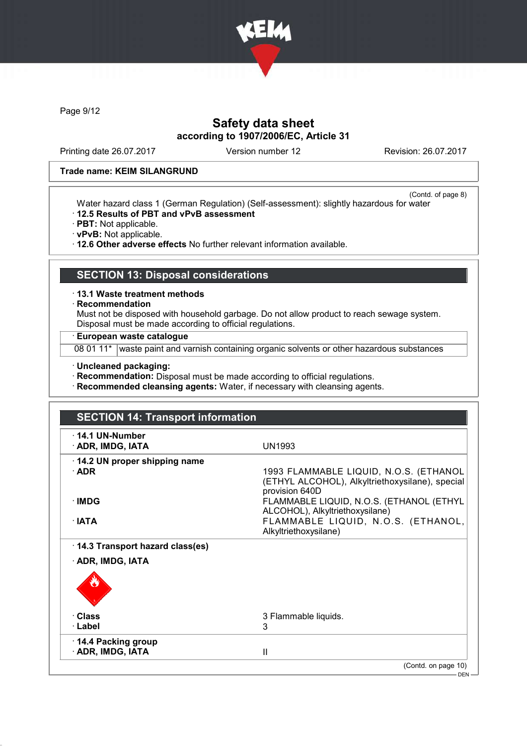

Page 9/12

### Safety data sheet according to 1907/2006/EC, Article 31

Printing date 26.07.2017 Version number 12 Revision: 26.07.2017

#### Trade name: KEIM SILANGRUND

(Contd. of page 8) Water hazard class 1 (German Regulation) (Self-assessment): slightly hazardous for water

- · 12.5 Results of PBT and vPvB assessment
- · PBT: Not applicable.
- · vPvB: Not applicable.

· 12.6 Other adverse effects No further relevant information available.

#### SECTION 13: Disposal considerations

- · 13.1 Waste treatment methods
- · Recommendation

Must not be disposed with household garbage. Do not allow product to reach sewage system. Disposal must be made according to official regulations.

· European waste catalogue

08 01 11\* waste paint and varnish containing organic solvents or other hazardous substances

#### · Uncleaned packaging:

· Recommendation: Disposal must be made according to official regulations.

· Recommended cleansing agents: Water, if necessary with cleansing agents.

| <b>SECTION 14: Transport information</b>    |                                                                                                             |
|---------------------------------------------|-------------------------------------------------------------------------------------------------------------|
| $\cdot$ 14.1 UN-Number<br>· ADR, IMDG, IATA | UN1993                                                                                                      |
| 14.2 UN proper shipping name<br>$\cdot$ ADR | 1993 FLAMMABLE LIQUID, N.O.S. (ETHANOL<br>(ETHYL ALCOHOL), Alkyltriethoxysilane), special<br>provision 640D |
| $\cdot$ IMDG                                | FLAMMABLE LIQUID, N.O.S. (ETHANOL (ETHYL<br>ALCOHOL), Alkyltriethoxysilane)                                 |
| ∴IATA                                       | FLAMMABLE LIQUID, N.O.S. (ETHANOL,<br>Alkyltriethoxysilane)                                                 |
| · 14.3 Transport hazard class(es)           |                                                                                                             |
| · ADR, IMDG, IATA                           |                                                                                                             |
| · Class                                     | 3 Flammable liquids.                                                                                        |
| · Label                                     | 3                                                                                                           |
| 14.4 Packing group<br>· ADR, IMDG, IATA     | Ш                                                                                                           |
|                                             | (Contd. on page 10)                                                                                         |
|                                             | $DEN -$                                                                                                     |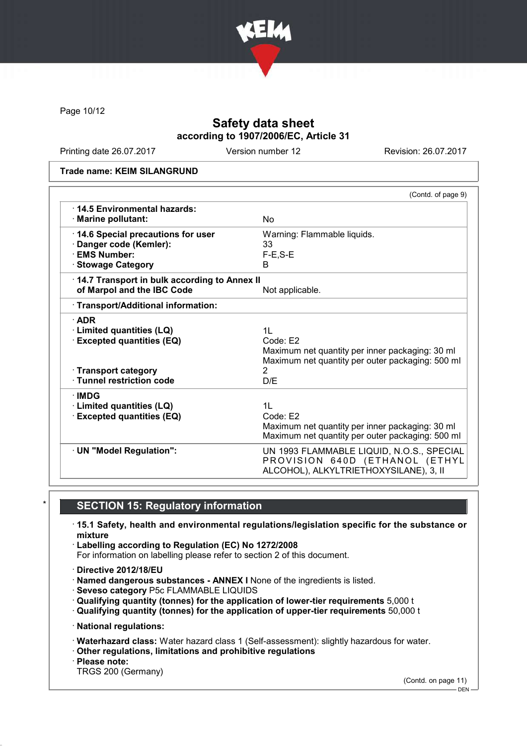

Page 10/12

### Safety data sheet according to 1907/2006/EC, Article 31

Printing date 26.07.2017 Version number 12 Revision: 26.07.2017

Trade name: KEIM SILANGRUND

|                                                     | (Contd. of page 9)                               |
|-----------------------------------------------------|--------------------------------------------------|
| ⋅14.5 Environmental hazards:<br>· Marine pollutant: | N <sub>o</sub>                                   |
| 14.6 Special precautions for user                   | Warning: Flammable liquids.                      |
| · Danger code (Kemler):                             | 33                                               |
| · EMS Number:                                       | $F-E, S-E$<br>B.                                 |
| · Stowage Category                                  |                                                  |
| 14.7 Transport in bulk according to Annex II        |                                                  |
| of Marpol and the IBC Code                          | Not applicable.                                  |
| · Transport/Additional information:                 |                                                  |
| $\cdot$ ADR                                         |                                                  |
| · Limited quantities (LQ)                           | 1L                                               |
| <b>Excepted quantities (EQ)</b>                     | Code: E2                                         |
|                                                     | Maximum net quantity per inner packaging: 30 ml  |
|                                                     | Maximum net quantity per outer packaging: 500 ml |
| · Transport category                                | $\overline{2}$                                   |
| · Tunnel restriction code                           | D/F                                              |
| $\cdot$ IMDG                                        |                                                  |
| <b>Limited quantities (LQ)</b>                      | 11                                               |
| <b>Excepted quantities (EQ)</b>                     | Code: E2                                         |
|                                                     | Maximum net quantity per inner packaging: 30 ml  |
|                                                     | Maximum net quantity per outer packaging: 500 ml |
| · UN "Model Regulation":                            | UN 1993 FLAMMABLE LIQUID, N.O.S., SPECIAL        |
|                                                     | PROVISION 640D (ETHANOL (ETHYL                   |
|                                                     | ALCOHOL), ALKYLTRIETHOXYSILANE), 3, II           |

### **SECTION 15: Regulatory information**

- · 15.1 Safety, health and environmental regulations/legislation specific for the substance or mixture
- · Labelling according to Regulation (EC) No 1272/2008
- For information on labelling please refer to section 2 of this document.
- · Directive 2012/18/EU
- · Named dangerous substances ANNEX I None of the ingredients is listed.
- · Seveso category P5c FLAMMABLE LIQUIDS
- · Qualifying quantity (tonnes) for the application of lower-tier requirements 5,000 t
- · Qualifying quantity (tonnes) for the application of upper-tier requirements 50,000 t
- · National regulations:
- · Waterhazard class: Water hazard class 1 (Self-assessment): slightly hazardous for water.
- · Other regulations, limitations and prohibitive regulations
- · Please note:
- TRGS 200 (Germany)

(Contd. on page 11)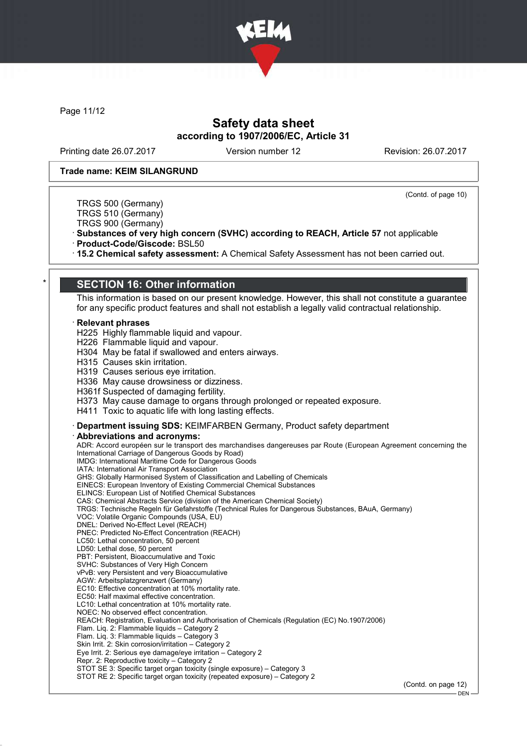

Page 11/12

### Safety data sheet according to 1907/2006/EC, Article 31

Printing date 26.07.2017 Version number 12 Revision: 26.07.2017

(Contd. of page 10)

#### Trade name: KEIM SILANGRUND

TRGS 500 (Germany) TRGS 510 (Germany)

TRGS 900 (Germany)

· Substances of very high concern (SVHC) according to REACH, Article 57 not applicable

· Product-Code/Giscode: BSL50

· 15.2 Chemical safety assessment: A Chemical Safety Assessment has not been carried out.

#### **SECTION 16: Other information**

This information is based on our present knowledge. However, this shall not constitute a guarantee for any specific product features and shall not establish a legally valid contractual relationship.

#### **Relevant phrases**

H225 Highly flammable liquid and vapour.

H226 Flammable liquid and vapour.

H304 May be fatal if swallowed and enters airways.

H315 Causes skin irritation.

H319 Causes serious eye irritation.

H336 May cause drowsiness or dizziness.

H361f Suspected of damaging fertility.

H373 May cause damage to organs through prolonged or repeated exposure.

H411 Toxic to aquatic life with long lasting effects.

· Department issuing SDS: KEIMFARBEN Germany, Product safety department

· Abbreviations and acronyms:

ADR: Accord européen sur le transport des marchandises dangereuses par Route (European Agreement concerning the International Carriage of Dangerous Goods by Road) IMDG: International Maritime Code for Dangerous Goods IATA: International Air Transport Association GHS: Globally Harmonised System of Classification and Labelling of Chemicals EINECS: European Inventory of Existing Commercial Chemical Substances ELINCS: European List of Notified Chemical Substances CAS: Chemical Abstracts Service (division of the American Chemical Society) TRGS: Technische Regeln für Gefahrstoffe (Technical Rules for Dangerous Substances, BAuA, Germany) VOC: Volatile Organic Compounds (USA, EU) DNEL: Derived No-Effect Level (REACH) PNEC: Predicted No-Effect Concentration (REACH) LC50: Lethal concentration, 50 percent LD50: Lethal dose, 50 percent PBT: Persistent, Bioaccumulative and Toxic SVHC: Substances of Very High Concern vPvB: very Persistent and very Bioaccumulative AGW: Arbeitsplatzgrenzwert (Germany) EC10: Effective concentration at 10% mortality rate. EC50: Half maximal effective concentration. LC10: Lethal concentration at 10% mortality rate. NOEC: No observed effect concentration. REACH: Registration, Evaluation and Authorisation of Chemicals (Regulation (EC) No.1907/2006) Flam. Liq. 2: Flammable liquids – Category 2 Flam. Liq. 3: Flammable liquids – Category 3 Skin Irrit. 2: Skin corrosion/irritation – Category 2 Eye Irrit. 2: Serious eye damage/eye irritation – Category 2 Repr. 2: Reproductive toxicity – Category 2 STOT SE 3: Specific target organ toxicity (single exposure) – Category 3 STOT RE 2: Specific target organ toxicity (repeated exposure) – Category 2

(Contd. on page 12)